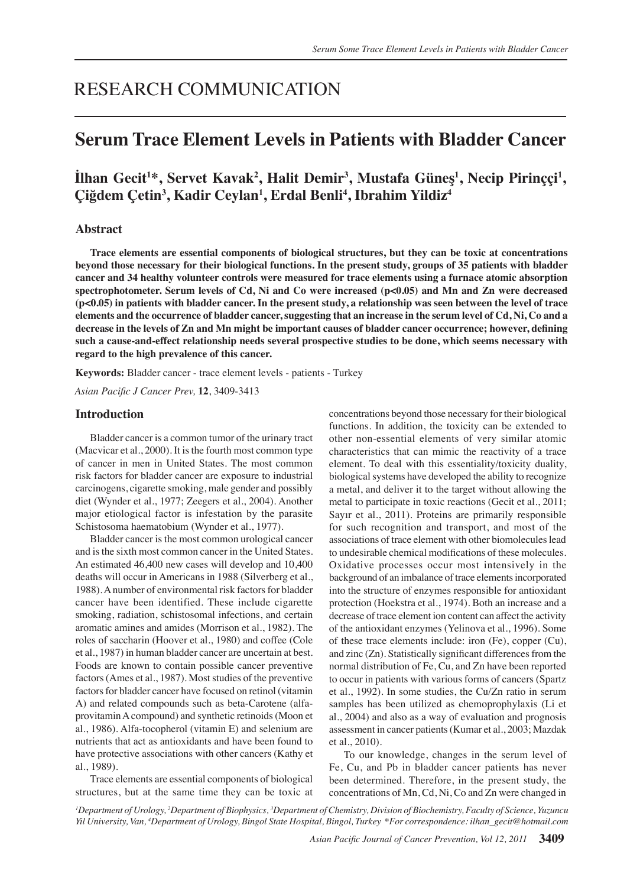# RESEARCH COMMUNICATION

## **Serum Trace Element Levels in Patients with Bladder Cancer**

## Ilhan Gecit<sup>1\*</sup>, Servet Kavak<sup>2</sup>, Halit Demir<sup>3</sup>, Mustafa Güneş<sup>1</sup>, Necip Pirinççi<sup>1</sup>, **Çiğdem Çetin<sup>3</sup> , Kadir Ceylan1 , Erdal Benli4 , Ibrahim Yildiz4**

## **Abstract**

**Trace elements are essential components of biological structures, but they can be toxic at concentrations beyond those necessary for their biological functions. In the present study, groups of 35 patients with bladder cancer and 34 healthy volunteer controls were measured for trace elements using a furnace atomic absorption spectrophotometer. Serum levels of Cd, Ni and Co were increased (p<0.05) and Mn and Zn were decreased (p<0.05) in patients with bladder cancer. In the present study, a relationship was seen between the level of trace elements and the occurrence of bladder cancer, suggesting that an increase in the serum level of Cd, Ni, Co and a decrease in the levels of Zn and Mn might be important causes of bladder cancer occurrence; however, defining such a cause-and-effect relationship needs several prospective studies to be done, which seems necessary with regard to the high prevalence of this cancer.**

**Keywords:** Bladder cancer - trace element levels - patients - Turkey

*Asian Pacific J Cancer Prev,* **12**, 3409-3413

## **Introduction**

Bladder cancer is a common tumor of the urinary tract (Macvicar et al., 2000). It is the fourth most common type of cancer in men in United States. The most common risk factors for bladder cancer are exposure to industrial carcinogens, cigarette smoking, male gender and possibly diet (Wynder et al., 1977; Zeegers et al., 2004). Another major etiological factor is infestation by the parasite Schistosoma haematobium (Wynder et al., 1977).

Bladder cancer is the most common urological cancer and is the sixth most common cancer in the United States. An estimated 46,400 new cases will develop and 10,400 deaths will occur in Americans in 1988 (Silverberg et al., 1988). A number of environmental risk factors for bladder cancer have been identified. These include cigarette smoking, radiation, schistosomal infections, and certain aromatic amines and amides (Morrison et al., 1982). The roles of saccharin (Hoover et al., 1980) and coffee (Cole et al., 1987) in human bladder cancer are uncertain at best. Foods are known to contain possible cancer preventive factors (Ames et al., 1987). Most studies of the preventive factors for bladder cancer have focused on retinol (vitamin A) and related compounds such as beta-Carotene (alfaprovitamin A compound) and synthetic retinoids (Moon et al., 1986). Alfa-tocopherol (vitamin E) and selenium are nutrients that act as antioxidants and have been found to have protective associations with other cancers (Kathy et al., 1989).

Trace elements are essential components of biological structures, but at the same time they can be toxic at concentrations beyond those necessary for their biological functions. In addition, the toxicity can be extended to other non-essential elements of very similar atomic characteristics that can mimic the reactivity of a trace element. To deal with this essentiality/toxicity duality, biological systems have developed the ability to recognize a metal, and deliver it to the target without allowing the metal to participate in toxic reactions (Gecit et al., 2011; Sayır et al., 2011). Proteins are primarily responsible for such recognition and transport, and most of the associations of trace element with other biomolecules lead to undesirable chemical modifications of these molecules. Oxidative processes occur most intensively in the background of an imbalance of trace elements incorporated into the structure of enzymes responsible for antioxidant protection (Hoekstra et al., 1974). Both an increase and a decrease of trace element ion content can affect the activity of the antioxidant enzymes (Yelinova et al., 1996). Some of these trace elements include: iron (Fe), copper (Cu), and zinc (Zn). Statistically significant differences from the normal distribution of Fe, Cu, and Zn have been reported to occur in patients with various forms of cancers (Spartz et al., 1992). In some studies, the Cu/Zn ratio in serum samples has been utilized as chemoprophylaxis (Li et al., 2004) and also as a way of evaluation and prognosis assessment in cancer patients (Kumar et al., 2003; Mazdak et al., 2010).

To our knowledge, changes in the serum level of Fe, Cu, and Pb in bladder cancer patients has never been determined. Therefore, in the present study, the concentrations of Mn, Cd, Ni, Co and Zn were changed in

*1 Department of Urology, 2 Department of Biophysics, <sup>3</sup> Department of Chemistry, Division of Biochemistry, Faculty of Science, Yuzuncu Yil University, Van, <sup>4</sup> Department of Urology, Bingol State Hospital, Bingol, Turkey \*For correspondence: ilhan\_gecit@hotmail.com*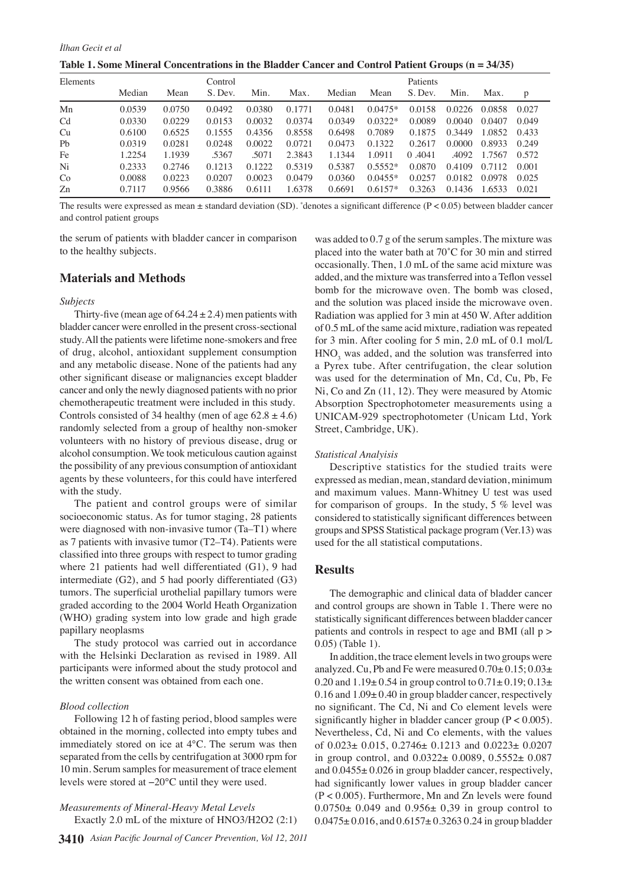**Table 1. Some Mineral Concentrations in the Bladder Cancer and Control Patient Groups (n = 34/35)**

| Elements       |        |        | Control |        |        |        |           | Patients          |        |        |       |
|----------------|--------|--------|---------|--------|--------|--------|-----------|-------------------|--------|--------|-------|
|                | Median | Mean   | S. Dev. | Min.   | Max.   | Median | Mean      | S. Dev.           | Min.   | Max.   | p     |
| Mn             | 0.0539 | 0.0750 | 0.0492  | 0.0380 | 0.1771 | 0.0481 | $0.0475*$ | 0.0158            | 0.0226 | 0.0858 | 0.027 |
| C <sub>d</sub> | 0.0330 | 0.0229 | 0.0153  | 0.0032 | 0.0374 | 0.0349 | $0.0322*$ | 0.0089            | 0.0040 | 0.0407 | 0.049 |
| Cu             | 0.6100 | 0.6525 | 0.1555  | 0.4356 | 0.8558 | 0.6498 | 0.7089    | 0.1875            | 0.3449 | 1.0852 | 0.433 |
| Pb             | 0.0319 | 0.0281 | 0.0248  | 0.0022 | 0.0721 | 0.0473 | 0.1322    | 0.2617            | 0.0000 | 0.8933 | 0.249 |
| Fe             | 1.2254 | 1.1939 | .5367   | .5071  | 2.3843 | 1.1344 | 1.0911    | .4041<br>$\Omega$ | .4092  | 1.7567 | 0.572 |
| Ni             | 0.2333 | 0.2746 | 0.1213  | 0.1222 | 0.5319 | 0.5387 | $0.5552*$ | 0.0870            | 0.4109 | 0.7112 | 0.001 |
| Co             | 0.0088 | 0.0223 | 0.0207  | 0.0023 | 0.0479 | 0.0360 | $0.0455*$ | 0.0257            | 0.0182 | 0.0978 | 0.025 |
| Zn             | 0.7117 | 0.9566 | 0.3886  | 0.6111 | 1.6378 | 0.6691 | $0.6157*$ | 0.3263            | 0.1436 | 1.6533 | 0.021 |

The results were expressed as mean ± standard deviation (SD). \* denotes a significant difference (P < 0.05) between bladder cancer and control patient groups

the serum of patients with bladder cancer in comparison to the healthy subjects.

## **Materials and Methods**

#### *Subjects*

Thirty-five (mean age of  $64.24 \pm 2.4$ ) men patients with bladder cancer were enrolled in the present cross-sectional study. All the patients were lifetime none-smokers and free of drug, alcohol, antioxidant supplement consumption and any metabolic disease. None of the patients had any other significant disease or malignancies except bladder cancer and only the newly diagnosed patients with no prior chemotherapeutic treatment were included in this study. Controls consisted of 34 healthy (men of age  $62.8 \pm 4.6$ ) randomly selected from a group of healthy non-smoker volunteers with no history of previous disease, drug or alcohol consumption. We took meticulous caution against the possibility of any previous consumption of antioxidant agents by these volunteers, for this could have interfered with the study.

The patient and control groups were of similar socioeconomic status. As for tumor staging, 28 patients were diagnosed with non-invasive tumor (Ta–T1) where as 7 patients with invasive tumor (T2–T4). Patients were classified into three groups with respect to tumor grading where 21 patients had well differentiated (G1), 9 had intermediate (G2), and 5 had poorly differentiated (G3) tumors. The superficial urothelial papillary tumors were graded according to the 2004 World Heath Organization (WHO) grading system into low grade and high grade papillary neoplasms

The study protocol was carried out in accordance with the Helsinki Declaration as revised in 1989. All participants were informed about the study protocol and the written consent was obtained from each one.

#### *Blood collection*

Following 12 h of fasting period, blood samples were obtained in the morning, collected into empty tubes and immediately stored on ice at 4°C. The serum was then separated from the cells by centrifugation at 3000 rpm for 10 min. Serum samples for measurement of trace element levels were stored at −20°C until they were used.

## *Measurements of Mineral-Heavy Metal Levels* Exactly 2.0 mL of the mixture of HNO3/H2O2 (2:1)

was added to 0.7 g of the serum samples. The mixture was placed into the water bath at 70˚C for 30 min and stirred occasionally. Then, 1.0 mL of the same acid mixture was added, and the mixture was transferred into a Teflon vessel bomb for the microwave oven. The bomb was closed, and the solution was placed inside the microwave oven. Radiation was applied for 3 min at 450 W. After addition of 0.5 mL of the same acid mixture, radiation was repeated for 3 min. After cooling for 5 min, 2.0 mL of 0.1 mol/L  $HNO<sub>3</sub>$  was added, and the solution was transferred into a Pyrex tube. After centrifugation, the clear solution was used for the determination of Mn, Cd, Cu, Pb, Fe Ni, Co and Zn (11, 12). They were measured by Atomic Absorption Spectrophotometer measurements using a UNICAM-929 spectrophotometer (Unicam Ltd, York Street, Cambridge, UK).

## *Statistical Analyisis*

Descriptive statistics for the studied traits were expressed as median, mean, standard deviation, minimum and maximum values. Mann-Whitney U test was used for comparison of groups. In the study,  $5\%$  level was considered to statistically significant differences between groups and SPSS Statistical package program (Ver.13) was used for the all statistical computations.

### **Results**

The demographic and clinical data of bladder cancer and control groups are shown in Table 1. There were no statistically significant differences between bladder cancer patients and controls in respect to age and BMI (all p > 0.05) (Table 1).

In addition, the trace element levels in two groups were analyzed. Cu, Pb and Fe were measured  $0.70 \pm 0.15$ ;  $0.03 \pm 0.03$ 0.20 and  $1.19 \pm 0.54$  in group control to  $0.71 \pm 0.19$ ;  $0.13 \pm 0.19$  $0.16$  and  $1.09 \pm 0.40$  in group bladder cancer, respectively no significant. The Cd, Ni and Co element levels were significantly higher in bladder cancer group  $(P < 0.005)$ . Nevertheless, Cd, Ni and Co elements, with the values of 0.023± 0.015, 0.2746± 0.1213 and 0.0223± 0.0207 in group control, and 0.0322± 0.0089, 0.5552± 0.087 and 0.0455± 0.026 in group bladder cancer, respectively, had significantly lower values in group bladder cancer (P < 0.005). Furthermore, Mn and Zn levels were found  $0.0750 \pm 0.049$  and  $0.956 \pm 0.39$  in group control to  $0.0475 \pm 0.016$ , and  $0.6157 \pm 0.3263$  0.24 in group bladder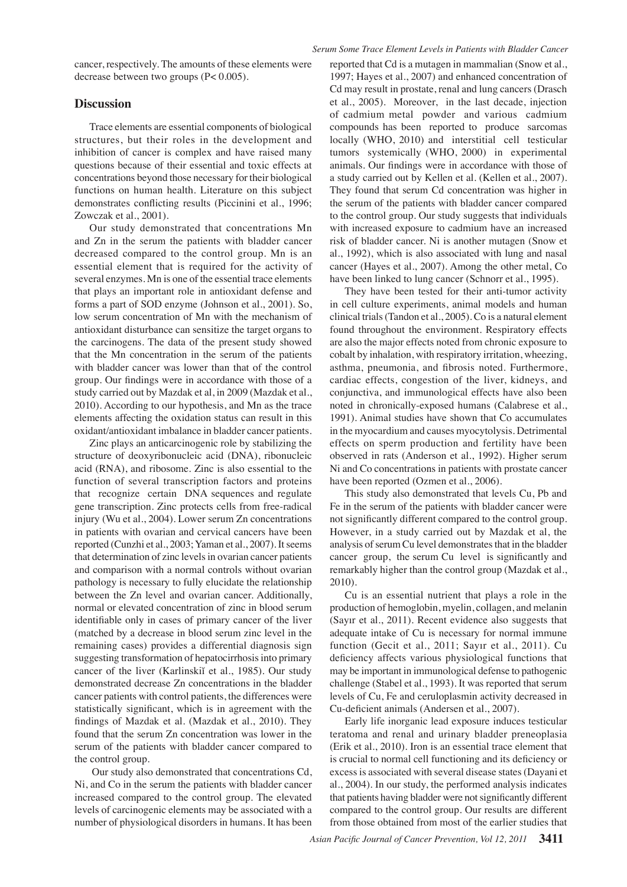cancer, respectively. The amounts of these elements were decrease between two groups (P< 0.005).

## **Discussion**

Trace elements are essential components of biological structures, but their roles in the development and inhibition of cancer is complex and have raised many questions because of their essential and toxic effects at concentrations beyond those necessary for their biological functions on human health. Literature on this subject demonstrates conflicting results (Piccinini et al., 1996; Zowczak et al., 2001).

Our study demonstrated that concentrations Mn and Zn in the serum the patients with bladder cancer decreased compared to the control group. Mn is an essential element that is required for the activity of several enzymes. Mn is one of the essential trace elements that plays an important role in antioxidant defense and forms a part of SOD enzyme (Johnson et al., 2001). So, low serum concentration of Mn with the mechanism of antioxidant disturbance can sensitize the target organs to the carcinogens. The data of the present study showed that the Mn concentration in the serum of the patients with bladder cancer was lower than that of the control group. Our findings were in accordance with those of a study carried out by Mazdak et al, in 2009 (Mazdak et al., 2010). According to our hypothesis, and Mn as the trace elements affecting the oxidation status can result in this oxidant/antioxidant imbalance in bladder cancer patients.

Zinc plays an anticarcinogenic role by stabilizing the structure of deoxyribonucleic acid (DNA), ribonucleic acid (RNA), and ribosome. Zinc is also essential to the function of several transcription factors and proteins that recognize certain DNA sequences and regulate gene transcription. Zinc protects cells from free-radical injury (Wu et al., 2004). Lower serum Zn concentrations in patients with ovarian and cervical cancers have been reported (Cunzhi et al., 2003; Yaman et al., 2007). It seems that determination of zinc levels in ovarian cancer patients and comparison with a normal controls without ovarian pathology is necessary to fully elucidate the relationship between the Zn level and ovarian cancer. Additionally, normal or elevated concentration of zinc in blood serum identifiable only in cases of primary cancer of the liver (matched by a decrease in blood serum zinc level in the remaining cases) provides a differential diagnosis sign suggesting transformation of hepatocirrhosis into primary cancer of the liver (Karlinskiĭ et al., 1985). Our study demonstrated decrease Zn concentrations in the bladder cancer patients with control patients, the differences were statistically significant, which is in agreement with the findings of Mazdak et al. (Mazdak et al., 2010). They found that the serum Zn concentration was lower in the serum of the patients with bladder cancer compared to the control group.

 Our study also demonstrated that concentrations Cd, Ni, and Co in the serum the patients with bladder cancer increased compared to the control group. The elevated levels of carcinogenic elements may be associated with a number of physiological disorders in humans. It has been

reported that Cd is a mutagen in mammalian (Snow et al., 1997; Hayes et al., 2007) and enhanced concentration of Cd may result in prostate, renal and lung cancers (Drasch et al., 2005). Moreover, in the last decade, injection of cadmium metal powder and various cadmium compounds has been reported to produce sarcomas locally (WHO, 2010) and interstitial cell testicular tumors systemically (WHO, 2000) in experimental animals. Our findings were in accordance with those of a study carried out by Kellen et al. (Kellen et al., 2007). They found that serum Cd concentration was higher in the serum of the patients with bladder cancer compared to the control group. Our study suggests that individuals with increased exposure to cadmium have an increased risk of bladder cancer. Ni is another mutagen (Snow et al., 1992), which is also associated with lung and nasal cancer (Hayes et al., 2007). Among the other metal, Co have been linked to lung cancer (Schnorr et al., 1995).

They have been tested for their anti-tumor activity in cell culture experiments, animal models and human clinical trials (Tandon et al., 2005). Co is a natural element found throughout the environment. Respiratory effects are also the major effects noted from chronic exposure to cobalt by inhalation, with respiratory irritation, wheezing, asthma, pneumonia, and fibrosis noted. Furthermore, cardiac effects, congestion of the liver, kidneys, and conjunctiva, and immunological effects have also been noted in chronically-exposed humans (Calabrese et al., 1991). Animal studies have shown that Co accumulates in the myocardium and causes myocytolysis. Detrimental effects on sperm production and fertility have been observed in rats (Anderson et al., 1992). Higher serum Ni and Co concentrations in patients with prostate cancer have been reported (Ozmen et al., 2006).

This study also demonstrated that levels Cu, Pb and Fe in the serum of the patients with bladder cancer were not significantly different compared to the control group. However, in a study carried out by Mazdak et al, the analysis of serum Cu level demonstrates that in the bladder cancer group, the serum Cu level is significantly and remarkably higher than the control group (Mazdak et al., 2010).

Cu is an essential nutrient that plays a role in the production of hemoglobin, myelin, collagen, and melanin (Sayır et al., 2011). Recent evidence also suggests that adequate intake of Cu is necessary for normal immune function (Gecit et al., 2011; Sayır et al., 2011). Cu deficiency affects various physiological functions that may be important in immunological defense to pathogenic challenge (Stabel et al., 1993). It was reported that serum levels of Cu, Fe and ceruloplasmin activity decreased in Cu-deficient animals (Andersen et al., 2007).

Early life inorganic lead exposure induces testicular teratoma and renal and urinary bladder preneoplasia (Erik et al., 2010). Iron is an essential trace element that is crucial to normal cell functioning and its deficiency or excess is associated with several disease states (Dayani et al., 2004). In our study, the performed analysis indicates that patients having bladder were not significantly different compared to the control group. Our results are different from those obtained from most of the earlier studies that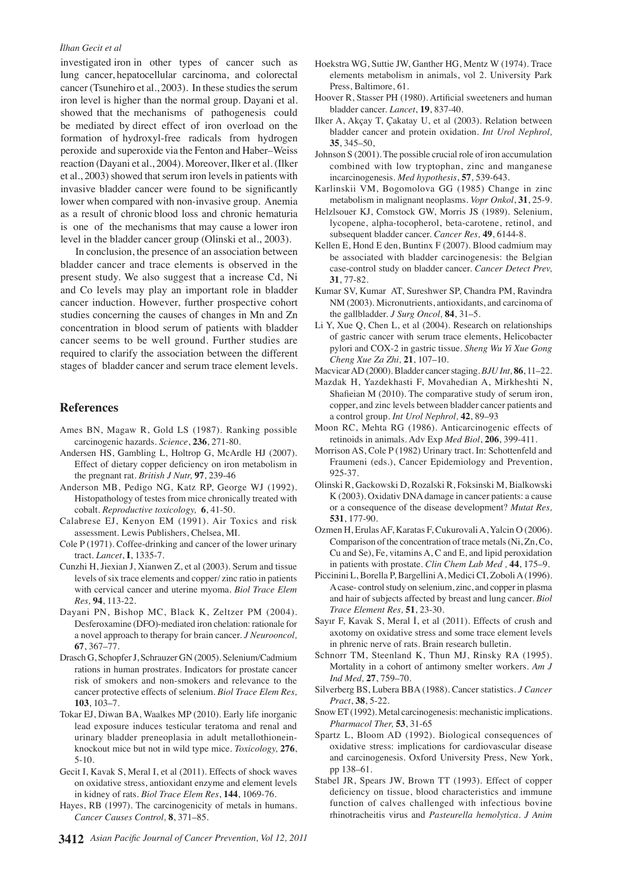## *İlhan Gecit et al*

investigated iron in other types of cancer such as lung cancer, hepatocellular carcinoma, and colorectal cancer (Tsunehiro et al., 2003). In these studies the serum iron level is higher than the normal group. Dayani et al. showed that the mechanisms of pathogenesis could be mediated by direct effect of iron overload on the formation of hydroxyl-free radicals from hydrogen peroxide and superoxide via the Fenton and Haber–Weiss reaction (Dayani et al., 2004). Moreover, Ilker et al. (Ilker et al., 2003) showed that serum iron levels in patients with invasive bladder cancer were found to be significantly lower when compared with non-invasive group. Anemia as a result of chronic blood loss and chronic hematuria is one of the mechanisms that may cause a lower iron level in the bladder cancer group (Olinski et al., 2003).

In conclusion, the presence of an association between bladder cancer and trace elements is observed in the present study. We also suggest that a increase Cd, Ni and Co levels may play an important role in bladder cancer induction. However, further prospective cohort studies concerning the causes of changes in Mn and Zn concentration in blood serum of patients with bladder cancer seems to be well ground. Further studies are required to clarify the association between the different stages of bladder cancer and serum trace element levels.

## **References**

- Ames BN, Magaw R, Gold LS (1987). Ranking possible carcinogenic hazards. *Science*, **236**, 271-80.
- Andersen HS, Gambling L, Holtrop G, McArdle HJ (2007). Effect of dietary copper deficiency on iron metabolism in the pregnant rat. *British J Nutr,* **97**, 239-46
- Anderson MB, Pedigo NG, Katz RP, George WJ (1992). Histopathology of testes from mice chronically treated with cobalt. *Reproductive toxicology,* **6**, 41-50.
- Calabrese EJ, Kenyon EM (1991). Air Toxics and risk assessment. Lewis Publishers, Chelsea, MI.
- Cole P (1971). Coffee-drinking and cancer of the lower urinary tract. *Lancet*, **I**, 1335-7.
- Cunzhi H, Jiexian J, Xianwen Z, et al (2003). Serum and tissue levels of six trace elements and copper/ zinc ratio in patients with cervical cancer and uterine myoma. *Biol Trace Elem Res,* **94**, 113-22.
- Dayani PN, Bishop MC, Black K, Zeltzer PM (2004). Desferoxamine (DFO)-mediated iron chelation: rationale for a novel approach to therapy for brain cancer. *J Neurooncol,*  **67**, 367–77.
- Drasch G, Schopfer J, Schrauzer GN (2005). Selenium/Cadmium rations in human prostrates. Indicators for prostate cancer risk of smokers and non-smokers and relevance to the cancer protective effects of selenium. *Biol Trace Elem Res,* **103**, 103–7.
- Tokar EJ, Diwan BA, Waalkes MP (2010). Early life inorganic lead exposure induces testicular teratoma and renal and urinary bladder preneoplasia in adult metallothioneinknockout mice but not in wild type mice. *Toxicology,* **276**, 5-10.
- Gecit I, Kavak S, Meral I, et al (2011). Effects of shock waves on oxidative stress, antioxidant enzyme and element levels in kidney of rats. *Biol Trace Elem Res*, **144**, 1069-76.
- Hayes, RB (1997). The carcinogenicity of metals in humans. *Cancer Causes Control,* **8**, 371–85.
- Hoekstra WG, Suttie JW, Ganther HG, Mentz W (1974). Trace elements metabolism in animals, vol 2. University Park Press, Baltimore, 61.
- Hoover R, Stasser PH (1980). Artificial sweeteners and human bladder cancer. *Lancet*, **19**, 837-40.
- Ilker A, Akçay T, Çakatay U, et al (2003). Relation between bladder cancer and protein oxidation. *Int Urol Nephrol,* **35**, 345–50,
- Johnson S (2001). The possible crucial role of iron accumulation combined with low tryptophan, zinc and manganese incarcinogenesis. *Med hypothesis*, **57**, 539-643.
- Karlinskii VM, Bogomolova GG (1985) Change in zinc metabolism in malignant neoplasms. *Vopr Onkol*, **31**, 25-9.
- Helzlsouer KJ, Comstock GW, Morris JS (1989). Selenium, lycopene, alpha-tocopherol, beta-carotene, retinol, and subsequent bladder cancer. *Cancer Res,* **49**, 6144-8.
- Kellen E, Hond E den, Buntinx F (2007). Blood cadmium may be associated with bladder carcinogenesis: the Belgian case-control study on bladder cancer. *Cancer Detect Prev,*  **31**, 77-82.
- Kumar SV, Kumar AT, Sureshwer SP, Chandra PM, Ravindra NM (2003). Micronutrients, antioxidants, and carcinoma of the gallbladder. *J Surg Oncol,* **84**, 31–5.
- Li Y, Xue Q, Chen L, et al (2004). Research on relationships of gastric cancer with serum trace elements, Helicobacter pylori and COX-2 in gastric tissue. *Sheng Wu Yi Xue Gong Cheng Xue Za Zhi,* **21**, 107–10.

Macvicar AD (2000). Bladder cancer staging. *BJU Int,* **86**, 11–22.

- Mazdak H, Yazdekhasti F, Movahedian A, Mirkheshti N, Shafieian M (2010). The comparative study of serum iron, copper, and zinc levels between bladder cancer patients and a control group. *Int Urol Nephrol,* **42**, 89–93
- Moon RC, Mehta RG (1986). Anticarcinogenic effects of retinoids in animals. Adv Exp *Med Biol*, **206**, 399-411.
- Morrison AS, Cole P (1982) Urinary tract. In: Schottenfeld and Fraumeni (eds.), Cancer Epidemiology and Prevention, 925-37.
- Olinski R, Gackowski D, Rozalski R, Foksinski M, Bialkowski K (2003). Oxidativ DNA damage in cancer patients: a cause or a consequence of the disease development? *Mutat Res,* **531**, 177-90.
- Ozmen H, Erulas AF, Karatas F, Cukurovali A, Yalcin O (2006). Comparison of the concentration of trace metals (Ni, Zn, Co, Cu and Se), Fe, vitamins A, C and E, and lipid peroxidation in patients with prostate. *Clin Chem Lab Med ,* **44**, 175–9.
- Piccinini L, Borella P, Bargellini A, Medici CI, Zoboli A (1996). A case- control study on selenium, zinc, and copper in plasma and hair of subjects affected by breast and lung cancer. *Biol Trace Element Res,* **51**, 23-30.
- Sayır F, Kavak S, Meral İ, et al (2011). Effects of crush and axotomy on oxidative stress and some trace element levels in phrenic nerve of rats. Brain research bulletin.
- Schnorr TM, Steenland K, Thun MJ, Rinsky RA (1995). Mortality in a cohort of antimony smelter workers. *Am J Ind Med,* **27**, 759–70.
- Silverberg BS, Lubera BBA (1988). Cancer statistics. *J Cancer Pract*, **38**, 5-22.
- Snow ET (1992). Metal carcinogenesis: mechanistic implications. *Pharmacol Ther,* **53**, 31-65
- Spartz L, Bloom AD (1992). Biological consequences of oxidative stress: implications for cardiovascular disease and carcinogenesis. Oxford University Press, New York, pp 138–61.
- Stabel JR, Spears JW, Brown TT (1993). Effect of copper deficiency on tissue, blood characteristics and immune function of calves challenged with infectious bovine rhinotracheitis virus and *Pasteurella hemolytica*. *J Anim*